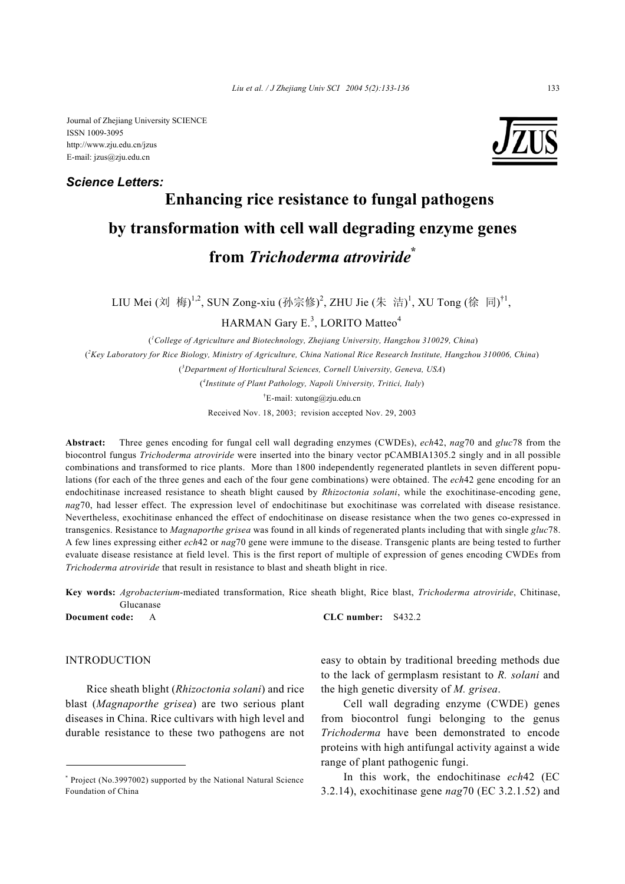Journal of Zhejiang University SCIENCE ISSN 1009-3095 http://www.zju.edu.cn/jzus E-mail: jzus@zju.edu.cn

# *Science Letters:*



# **Enhancing rice resistance to fungal pathogens by transformation with cell wall degrading enzyme genes from** *Trichoderma atroviride***\***

LIU Mei (刘 梅)<sup>1,2</sup>, SUN Zong-xiu (孙宗修)<sup>2</sup>, ZHU Jie (朱 洁)<sup>1</sup>, XU Tong (徐 同)<sup>†1</sup>,

 $HARMAN$  Gary  $E^{3}$ , LORITO Matteo<sup>4</sup>

 (*1 College of Agriculture and Biotechnology, Zhejiang University, Hangzhou 310029, China*) ( *2 Key Laboratory for Rice Biology, Ministry of Agriculture, China National Rice Research Institute, Hangzhou 310006, China*) ( *3 Department of Horticultural Sciences, Cornell University, Geneva, USA*) ( *4 Institute of Plant Pathology, Napoli University, Tritici, Italy*)

† E-mail: xutong@zju.edu.cn

Received Nov. 18, 2003; revision accepted Nov. 29, 2003

**Abstract:** Three genes encoding for fungal cell wall degrading enzymes (CWDEs), *ech*42, *nag*70 and *gluc*78 from the biocontrol fungus *Trichoderma atroviride* were inserted into the binary vector pCAMBIA1305.2 singly and in all possible combinations and transformed to rice plants. More than 1800 independently regenerated plantlets in seven different populations (for each of the three genes and each of the four gene combinations) were obtained. The *ech*42 gene encoding for an endochitinase increased resistance to sheath blight caused by *Rhizoctonia solani*, while the exochitinase-encoding gene, *nag*70, had lesser effect. The expression level of endochitinase but exochitinase was correlated with disease resistance. Nevertheless, exochitinase enhanced the effect of endochitinase on disease resistance when the two genes co-expressed in transgenics. Resistance to *Magnaporthe grisea* was found in all kinds of regenerated plants including that with single *gluc*78. A few lines expressing either *ech*42 or *nag*70 gene were immune to the disease. Transgenic plants are being tested to further evaluate disease resistance at field level. This is the first report of multiple of expression of genes encoding CWDEs from *Trichoderma atroviride* that result in resistance to blast and sheath blight in rice.

**Key words:** *Agrobacterium*-mediated transformation, Rice sheath blight, Rice blast, *Trichoderma atroviride*, Chitinase, Glucanase

**Document code:** A **CLC number:** S432.2

# INTRODUCTION

Rice sheath blight (*Rhizoctonia solani*) and rice blast (*Magnaporthe grisea*) are two serious plant diseases in China. Rice cultivars with high level and durable resistance to these two pathogens are not easy to obtain by traditional breeding methods due to the lack of germplasm resistant to *R. solani* and the high genetic diversity of *M. grisea*.

Cell wall degrading enzyme (CWDE) genes from biocontrol fungi belonging to the genus *Trichoderma* have been demonstrated to encode proteins with high antifungal activity against a wide range of plant pathogenic fungi.

In this work, the endochitinase *ech*42 (EC 3.2.14), exochitinase gene *nag*70 (EC 3.2.1.52) and

<sup>\*</sup> Project (No.3997002) supported by the National Natural Science Foundation of China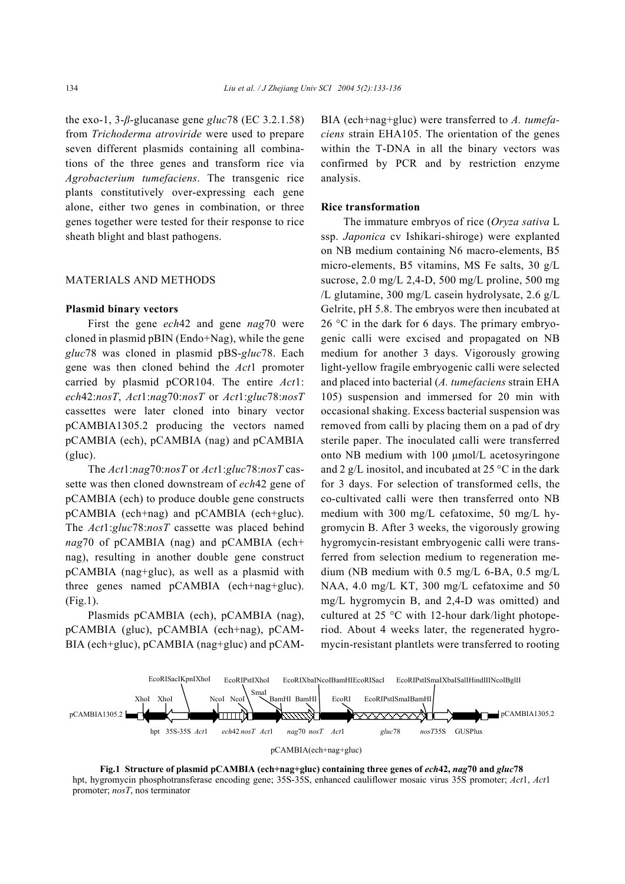the exo-1, 3-*β*-glucanase gene *gluc*78 (EC 3.2.1.58) from *Trichoderma atroviride* were used to prepare seven different plasmids containing all combinations of the three genes and transform rice via *Agrobacterium tumefaciens*. The transgenic rice plants constitutively over-expressing each gene alone, either two genes in combination, or three genes together were tested for their response to rice sheath blight and blast pathogens.

#### MATERIALS AND METHODS

#### **Plasmid binary vectors**

First the gene *ech*42 and gene *nag*70 were cloned in plasmid pBIN (Endo+Nag), while the gene *gluc*78 was cloned in plasmid pBS-*gluc*78. Each gene was then cloned behind the *Act*1 promoter carried by plasmid pCOR104. The entire *Act*1: *ech*42:*nosT*, *Act*1:*nag*70:*nosT* or *Act*1:*gluc*78:*nosT* cassettes were later cloned into binary vector pCAMBIA1305.2 producing the vectors named pCAMBIA (ech), pCAMBIA (nag) and pCAMBIA (gluc).

The *Act*1:*nag*70:*nosT* or *Act*1:*gluc*78:*nosT* cassette was then cloned downstream of *ech*42 gene of pCAMBIA (ech) to produce double gene constructs pCAMBIA (ech+nag) and pCAMBIA (ech+gluc). The *Act*1:*gluc*78:*nosT* cassette was placed behind *nag*70 of pCAMBIA (nag) and pCAMBIA (ech+ nag), resulting in another double gene construct pCAMBIA (nag+gluc), as well as a plasmid with three genes named pCAMBIA (ech+nag+gluc). (Fig.1).

Plasmids pCAMBIA (ech), pCAMBIA (nag), pCAMBIA (gluc), pCAMBIA (ech+nag), pCAM-BIA (ech+gluc), pCAMBIA (nag+gluc) and pCAM- BIA (ech+nag+gluc) were transferred to *A. tumefaciens* strain EHA105. The orientation of the genes within the T-DNA in all the binary vectors was confirmed by PCR and by restriction enzyme analysis.

# **Rice transformation**

The immature embryos of rice (*Oryza sativa* L ssp. *Japonica* cv Ishikari-shiroge) were explanted on NB medium containing N6 macro-elements, B5 micro-elements, B5 vitamins, MS Fe salts, 30 g/L sucrose, 2.0 mg/L 2,4-D, 500 mg/L proline, 500 mg /L glutamine, 300 mg/L casein hydrolysate, 2.6 g/L Gelrite, pH 5.8. The embryos were then incubated at 26 °C in the dark for 6 days. The primary embryogenic calli were excised and propagated on NB medium for another 3 days. Vigorously growing light-yellow fragile embryogenic calli were selected and placed into bacterial (*A. tumefaciens* strain EHA 105) suspension and immersed for 20 min with occasional shaking. Excess bacterial suspension was removed from calli by placing them on a pad of dry sterile paper. The inoculated calli were transferred onto NB medium with 100 µmol/L acetosyringone and 2 g/L inositol, and incubated at 25  $\degree$ C in the dark for 3 days. For selection of transformed cells, the co-cultivated calli were then transferred onto NB medium with 300 mg/L cefatoxime, 50 mg/L hygromycin B. After 3 weeks, the vigorously growing hygromycin-resistant embryogenic calli were transferred from selection medium to regeneration medium (NB medium with 0.5 mg/L 6-BA, 0.5 mg/L NAA, 4.0 mg/L KT, 300 mg/L cefatoxime and 50 mg/L hygromycin B, and 2,4-D was omitted) and cultured at 25 °C with 12-hour dark/light photoperiod. About 4 weeks later, the regenerated hygromycin-resistant plantlets were transferred to rooting



**Fig.1 Structure of plasmid pCAMBIA (ech+nag+gluc) containing three genes of** *ech***42,** *nag***70 and** *gluc***78** hpt, hygromycin phosphotransferase encoding gene; 35S-35S, enhanced cauliflower mosaic virus 35S promoter; *Act*1, *Act*1 promoter; *nosT*, nos terminator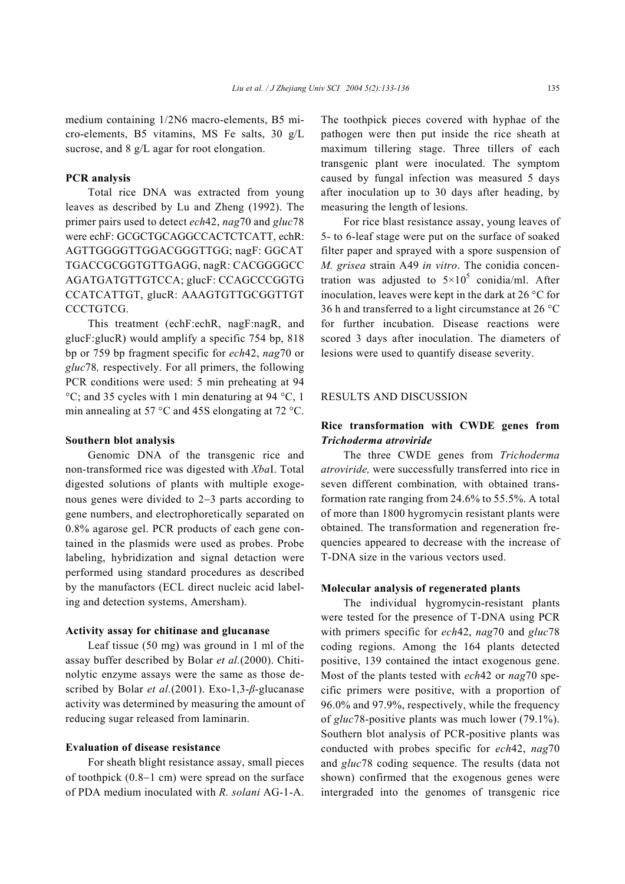medium containing 1/2N6 macro-elements, B5 micro-elements, B5 vitamins, MS Fe salts, 30 g/L sucrose, and 8 g/L agar for root elongation.

# **PCR analysis**

Total rice DNA was extracted from young leaves as described by Lu and Zheng (1992). The primer pairs used to detect *ech*42, *nag*70 and *gluc*78 were echF: GCGCTGCAGGCCACTCTCATT, echR: AGTTGGGGTTGGACGGGTTGG; nagF: GGCAT TGACCGCGGTGTTGAGG, nagR: CACGGGGCC AGATGATGTTGTCCA; glucF: CCAGCCCGGTG CCATCATTGT, glucR: AAAGTGTTGCGGTTGT CCCTGTCG.

This treatment (echF:echR, nagF:nagR, and glucF:glucR) would amplify a specific 754 bp, 818 bp or 759 bp fragment specific for *ech*42, *nag*70 or *gluc*78*,* respectively. For all primers, the following PCR conditions were used: 5 min preheating at 94 °C; and 35 cycles with 1 min denaturing at 94 °C, 1 min annealing at 57 °C and 45S elongating at 72 °C.

#### **Southern blot analysis**

Genomic DNA of the transgenic rice and non-transformed rice was digested with *Xba*I. Total digested solutions of plants with multiple exogenous genes were divided to 2−3 parts according to gene numbers, and electrophoretically separated on 0.8% agarose gel. PCR products of each gene contained in the plasmids were used as probes. Probe labeling, hybridization and signal detaction were performed using standard procedures as described by the manufactors (ECL direct nucleic acid labeling and detection systems, Amersham).

## **Activity assay for chitinase and glucanase**

Leaf tissue (50 mg) was ground in 1 ml of the assay buffer described by Bolar *et al.*(2000). Chitinolytic enzyme assays were the same as those described by Bolar *et al.*(2001). Exo-1,3-*β*-glucanase activity was determined by measuring the amount of reducing sugar released from laminarin.

## **Evaluation of disease resistance**

For sheath blight resistance assay, small pieces of toothpick (0.8−1 cm) were spread on the surface of PDA medium inoculated with *R. solani* AG-1-A.

The toothpick pieces covered with hyphae of the pathogen were then put inside the rice sheath at maximum tillering stage. Three tillers of each transgenic plant were inoculated. The symptom caused by fungal infection was measured 5 days after inoculation up to 30 days after heading, by measuring the length of lesions.

For rice blast resistance assay, young leaves of 5- to 6-leaf stage were put on the surface of soaked filter paper and sprayed with a spore suspension of *M. grisea* strain A49 *in vitro*. The conidia concentration was adjusted to  $5 \times 10^5$  conidia/ml. After inoculation, leaves were kept in the dark at 26 °C for 36 h and transferred to a light circumstance at 26 °C for further incubation. Disease reactions were scored 3 days after inoculation. The diameters of lesions were used to quantify disease severity.

## RESULTS AND DISCUSSION

# **Rice transformation with CWDE genes from** *Trichoderma atroviride*

The three CWDE genes from *Trichoderma atroviride,* were successfully transferred into rice in seven different combination*,* with obtained transformation rate ranging from 24.6% to 55.5%. A total of more than 1800 hygromycin resistant plants were obtained. The transformation and regeneration frequencies appeared to decrease with the increase of T-DNA size in the various vectors used.

## **Molecular analysis of regenerated plants**

The individual hygromycin-resistant plants were tested for the presence of T-DNA using PCR with primers specific for *ech*42, *nag*70 and *gluc*78 coding regions. Among the 164 plants detected positive, 139 contained the intact exogenous gene. Most of the plants tested with *ech*42 or *nag*70 specific primers were positive, with a proportion of 96.0% and 97.9%, respectively, while the frequency of *gluc*78-positive plants was much lower (79.1%). Southern blot analysis of PCR-positive plants was conducted with probes specific for *ech*42, *nag*70 and *gluc*78 coding sequence. The results (data not shown) confirmed that the exogenous genes were intergraded into the genomes of transgenic rice